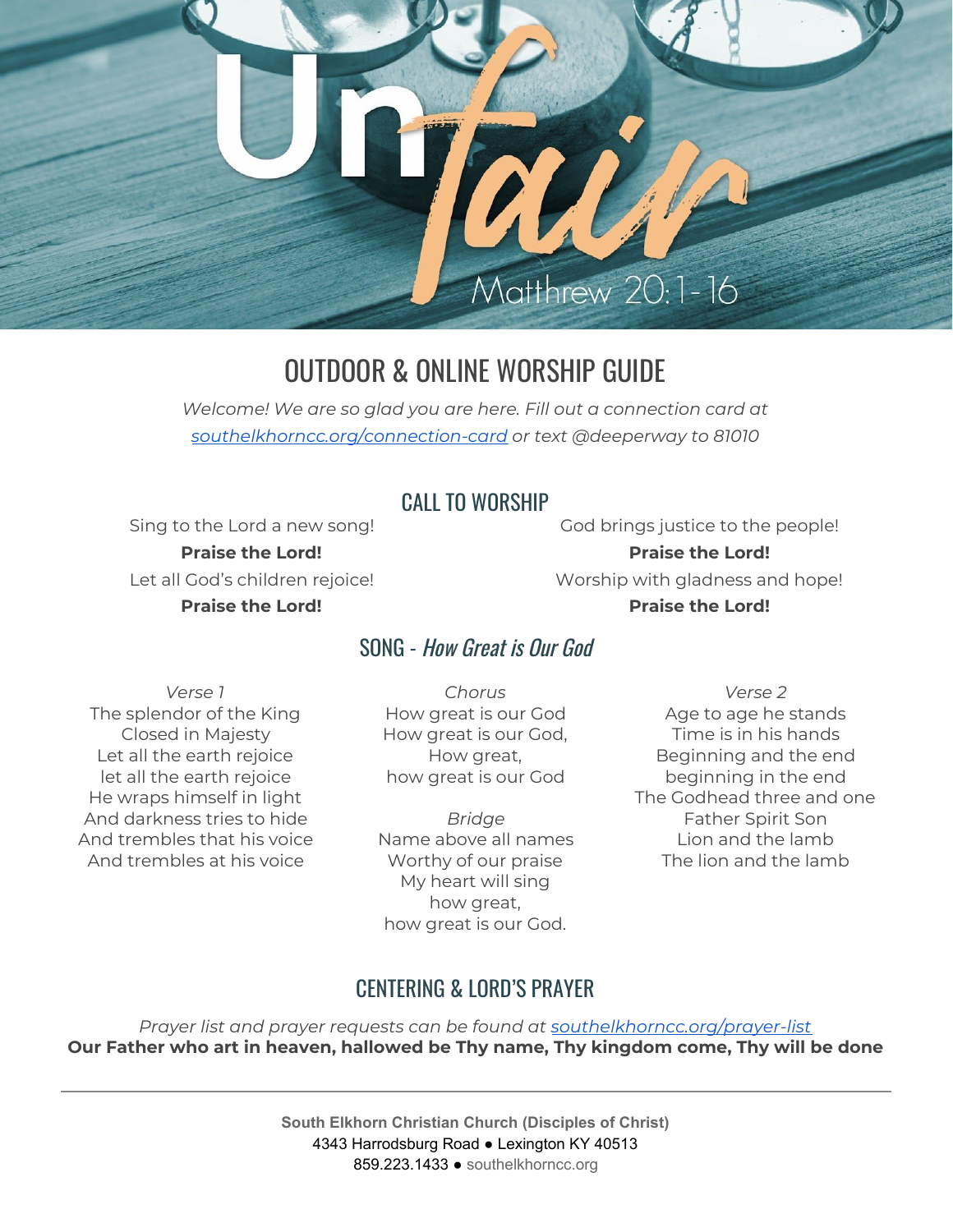# OUTDOOR & ONLINE WORSHIP GUIDE

Matthrew 20:1-16

*Welcome! We are so glad you are here. Fill out a connection card at [southelkhorncc.org/connection-card](https://www.southelkhorncc.org/connection-card) or text @deeperway to 81010*

## CALL TO WORSHIP

Sing to the Lord a new song! **Praise the Lord!** Let all God's children rejoice! **Praise the Lord!**

God brings justice to the people! **Praise the Lord!** Worship with gladness and hope! **Praise the Lord!**

#### SONG - How Great is Our God

*Verse 1* The splendor of the King Closed in Majesty Let all the earth rejoice let all the earth rejoice He wraps himself in light And darkness tries to hide And trembles that his voice And trembles at his voice

*Chorus* How great is our God How great is our God, How great, how great is our God

*Bridge* Name above all names Worthy of our praise My heart will sing how great, how great is our God.

*Verse 2* Age to age he stands Time is in his hands Beginning and the end beginning in the end The Godhead three and one Father Spirit Son Lion and the lamb The lion and the lamb

#### CENTERING & LORD'S PRAYER

*Prayer list and prayer requests can be found at [southelkhorncc.org/prayer-list](https://www.southelkhorncc.org/prayer-list)* **Our Father who art in heaven, hallowed be Thy name, Thy kingdom come, Thy will be done**

> **South Elkhorn Christian Church (Disciples of Christ)** 4343 Harrodsburg Road ● Lexington KY 40513 859.223.1433 ● [southelkhorncc.org](http://www.southelkhorncc.org/)